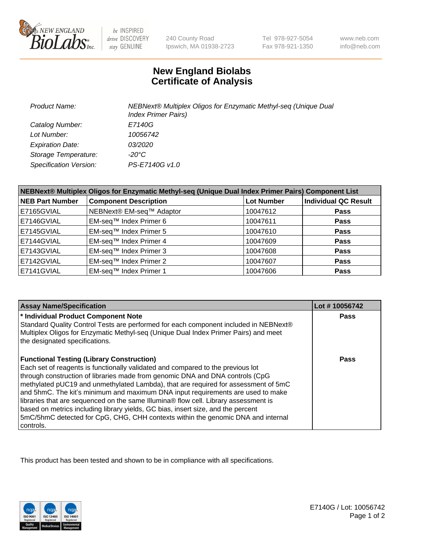

be INSPIRED drive DISCOVERY stay GENUINE

240 County Road Ipswich, MA 01938-2723 Tel 978-927-5054 Fax 978-921-1350

www.neb.com info@neb.com

## **New England Biolabs Certificate of Analysis**

| <b>Product Name:</b>    | NEBNext® Multiplex Oligos for Enzymatic Methyl-seq (Unique Dual<br><b>Index Primer Pairs)</b> |
|-------------------------|-----------------------------------------------------------------------------------------------|
| Catalog Number:         | E7140G                                                                                        |
| Lot Number:             | 10056742                                                                                      |
| <b>Expiration Date:</b> | <i>03/2020</i>                                                                                |
| Storage Temperature:    | -20°C                                                                                         |
| Specification Version:  | PS-E7140G v1.0                                                                                |

| NEBNext® Multiplex Oligos for Enzymatic Methyl-seq (Unique Dual Index Primer Pairs) Component List |                              |                   |                             |  |
|----------------------------------------------------------------------------------------------------|------------------------------|-------------------|-----------------------------|--|
| <b>NEB Part Number</b>                                                                             | <b>Component Description</b> | <b>Lot Number</b> | <b>Individual QC Result</b> |  |
| E7165GVIAL                                                                                         | NEBNext® EM-seq™ Adaptor     | 10047612          | <b>Pass</b>                 |  |
| E7146GVIAL                                                                                         | EM-seq™ Index Primer 6       | 10047611          | <b>Pass</b>                 |  |
| E7145GVIAL                                                                                         | EM-seq™ Index Primer 5       | 10047610          | <b>Pass</b>                 |  |
| E7144GVIAL                                                                                         | EM-seq™ Index Primer 4       | 10047609          | <b>Pass</b>                 |  |
| E7143GVIAL                                                                                         | EM-seq™ Index Primer 3       | 10047608          | <b>Pass</b>                 |  |
| E7142GVIAL                                                                                         | EM-seq™ Index Primer 2       | 10047607          | <b>Pass</b>                 |  |
| E7141GVIAL                                                                                         | EM-seq™ Index Primer 1       | 10047606          | <b>Pass</b>                 |  |

| <b>Assay Name/Specification</b>                                                                                       | Lot #10056742 |
|-----------------------------------------------------------------------------------------------------------------------|---------------|
| * Individual Product Component Note                                                                                   | <b>Pass</b>   |
| Standard Quality Control Tests are performed for each component included in NEBNext®                                  |               |
| Multiplex Oligos for Enzymatic Methyl-seq (Unique Dual Index Primer Pairs) and meet<br>the designated specifications. |               |
|                                                                                                                       |               |
| <b>Functional Testing (Library Construction)</b>                                                                      | Pass          |
| Each set of reagents is functionally validated and compared to the previous lot                                       |               |
| through construction of libraries made from genomic DNA and DNA controls (CpG                                         |               |
| methylated pUC19 and unmethylated Lambda), that are required for assessment of 5mC                                    |               |
| and 5hmC. The kit's minimum and maximum DNA input requirements are used to make                                       |               |
| libraries that are sequenced on the same Illumina® flow cell. Library assessment is                                   |               |
| based on metrics including library yields, GC bias, insert size, and the percent                                      |               |
| 5mC/5hmC detected for CpG, CHG, CHH contexts within the genomic DNA and internal                                      |               |
| controls.                                                                                                             |               |

This product has been tested and shown to be in compliance with all specifications.